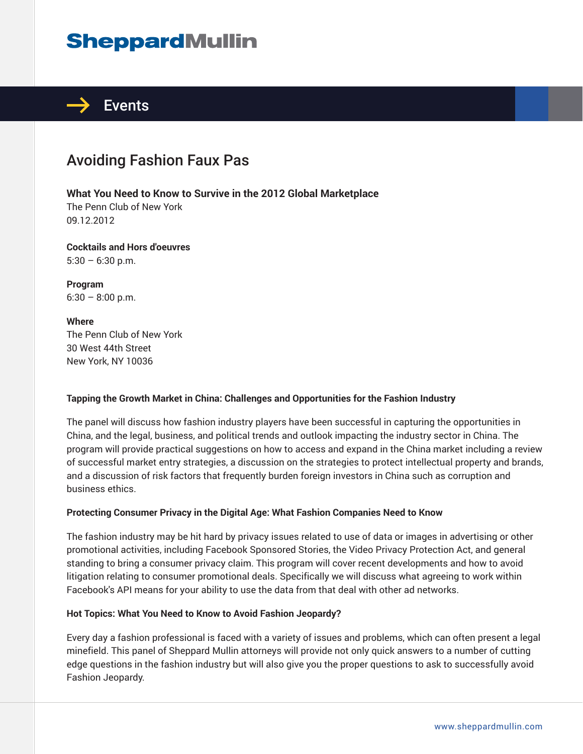# **SheppardMullin**



## Avoiding Fashion Faux Pas

**What You Need to Know to Survive in the 2012 Global Marketplace**

The Penn Club of New York 09.12.2012

**Cocktails and Hors d'oeuvres**  $5:30 - 6:30$  p.m.

**Program**  $6:30 - 8:00$  p.m.

**Where** The Penn Club of New York 30 West 44th Street New York, NY 10036

### **Tapping the Growth Market in China: Challenges and Opportunities for the Fashion Industry**

The panel will discuss how fashion industry players have been successful in capturing the opportunities in China, and the legal, business, and political trends and outlook impacting the industry sector in China. The program will provide practical suggestions on how to access and expand in the China market including a review of successful market entry strategies, a discussion on the strategies to protect intellectual property and brands, and a discussion of risk factors that frequently burden foreign investors in China such as corruption and business ethics.

### **Protecting Consumer Privacy in the Digital Age: What Fashion Companies Need to Know**

The fashion industry may be hit hard by privacy issues related to use of data or images in advertising or other promotional activities, including Facebook Sponsored Stories, the Video Privacy Protection Act, and general standing to bring a consumer privacy claim. This program will cover recent developments and how to avoid litigation relating to consumer promotional deals. Specifically we will discuss what agreeing to work within Facebook's API means for your ability to use the data from that deal with other ad networks.

#### **Hot Topics: What You Need to Know to Avoid Fashion Jeopardy?**

Every day a fashion professional is faced with a variety of issues and problems, which can often present a legal minefield. This panel of Sheppard Mullin attorneys will provide not only quick answers to a number of cutting edge questions in the fashion industry but will also give you the proper questions to ask to successfully avoid Fashion Jeopardy.